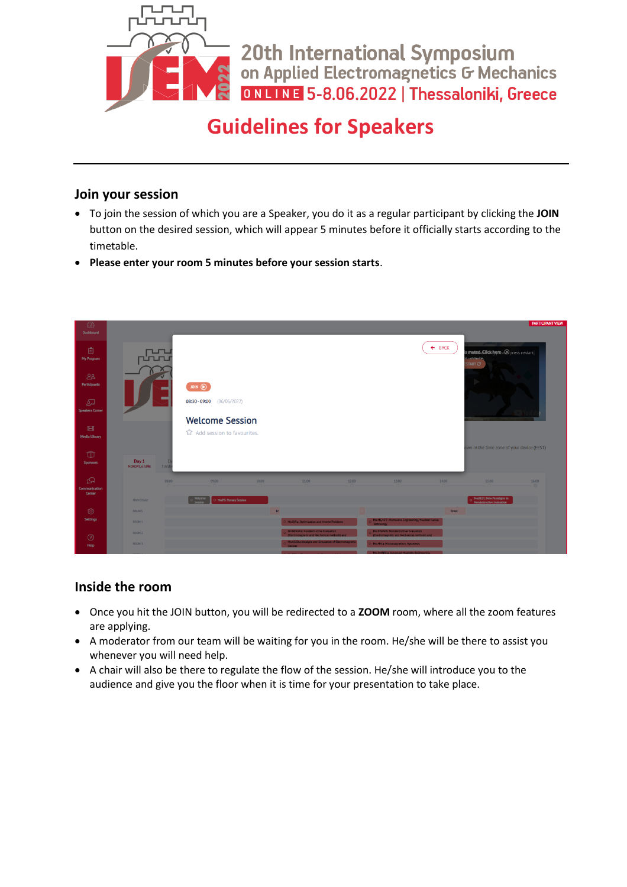

20th International Symposium<br>on Applied Electromagnetics G Mechanics ONLINE 5-8.06.2022 | Thessaloniki, Greece

## **Guidelines for Speakers**

## **Join your session**

- To join the session of which you are a Speaker, you do it as a regular participant by clicking the **JOIN** button on the desired session, which will appear 5 minutes before it officially starts according to the timetable.
- **Please enter your room 5 minutes before your session starts**.



## **Inside the room**

- Once you hit the JOIN button, you will be redirected to a **ZOOM** room, where all the zoom features are applying.
- A moderator from our team will be waiting for you in the room. He/she will be there to assist you whenever you will need help.
- A chair will also be there to regulate the flow of the session. He/she will introduce you to the audience and give you the floor when it is time for your presentation to take place.